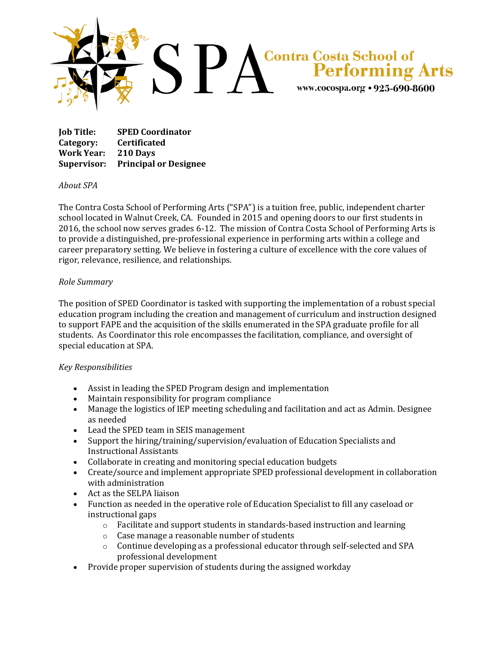

**Job Title: SPED Coordinator Category: Certificated Work Year: 210 Days Supervisor: Principal or Designee**

## *About SPA*

The Contra Costa School of Performing Arts ("SPA") is a tuition free, public, independent charter school located in Walnut Creek, CA. Founded in 2015 and opening doors to our first students in 2016, the school now serves grades 6-12. The mission of Contra Costa School of Performing Arts is to provide a distinguished, pre-professional experience in performing arts within a college and career preparatory setting. We believe in fostering a culture of excellence with the core values of rigor, relevance, resilience, and relationships.

## *Role Summary*

The position of SPED Coordinator is tasked with supporting the implementation of a robust special education program including the creation and management of curriculum and instruction designed to support FAPE and the acquisition of the skills enumerated in the SPA graduate profile for all students. As Coordinator this role encompasses the facilitation, compliance, and oversight of special education at SPA.

## *Key Responsibilities*

- Assist in leading the SPED Program design and implementation
- Maintain responsibility for program compliance
- Manage the logistics of IEP meeting scheduling and facilitation and act as Admin. Designee as needed
- Lead the SPED team in SEIS management
- Support the hiring/training/supervision/evaluation of Education Specialists and Instructional Assistants
- Collaborate in creating and monitoring special education budgets
- Create/source and implement appropriate SPED professional development in collaboration with administration
- Act as the SELPA liaison
- Function as needed in the operative role of Education Specialist to fill any caseload or instructional gaps
	- o Facilitate and support students in standards-based instruction and learning
	- o Case manage a reasonable number of students
	- o Continue developing as a professional educator through self-selected and SPA professional development
- Provide proper supervision of students during the assigned workday